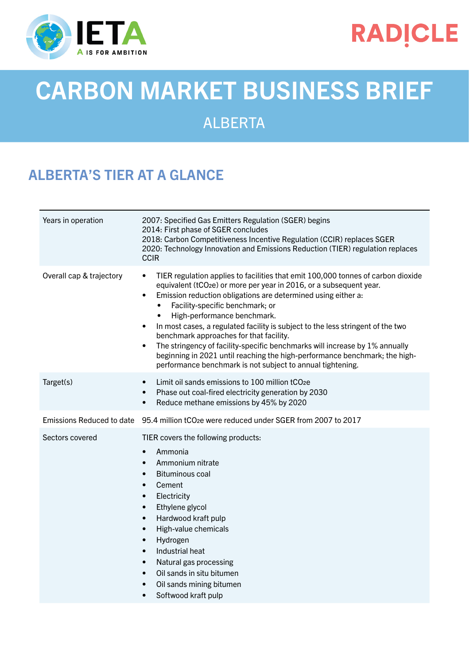

## **RADICLE**

# CARBON MARKET BUSINESS BRIEF

ALBERTA

### ALBERTA'S TIER AT A GLANCE

| Years in operation       | 2007: Specified Gas Emitters Regulation (SGER) begins<br>2014: First phase of SGER concludes<br>2018: Carbon Competitiveness Incentive Regulation (CCIR) replaces SGER<br>2020: Technology Innovation and Emissions Reduction (TIER) regulation replaces<br><b>CCIR</b>                                                                                                                                                                                                                                                                                                                                                                                                                                                          |  |
|--------------------------|----------------------------------------------------------------------------------------------------------------------------------------------------------------------------------------------------------------------------------------------------------------------------------------------------------------------------------------------------------------------------------------------------------------------------------------------------------------------------------------------------------------------------------------------------------------------------------------------------------------------------------------------------------------------------------------------------------------------------------|--|
| Overall cap & trajectory | TIER regulation applies to facilities that emit 100,000 tonnes of carbon dioxide<br>$\bullet$<br>equivalent (tCO <sub>2</sub> e) or more per year in 2016, or a subsequent year.<br>Emission reduction obligations are determined using either a:<br>$\bullet$<br>Facility-specific benchmark; or<br>$\bullet$<br>High-performance benchmark.<br>In most cases, a regulated facility is subject to the less stringent of the two<br>$\bullet$<br>benchmark approaches for that facility.<br>The stringency of facility-specific benchmarks will increase by 1% annually<br>$\bullet$<br>beginning in 2021 until reaching the high-performance benchmark; the high-<br>performance benchmark is not subject to annual tightening. |  |
| Target(s)                | Limit oil sands emissions to 100 million tCO <sub>2</sub> e<br>$\bullet$<br>Phase out coal-fired electricity generation by 2030<br>$\bullet$<br>Reduce methane emissions by 45% by 2020<br>$\bullet$                                                                                                                                                                                                                                                                                                                                                                                                                                                                                                                             |  |
|                          | Emissions Reduced to date 95.4 million tCO <sub>2</sub> e were reduced under SGER from 2007 to 2017                                                                                                                                                                                                                                                                                                                                                                                                                                                                                                                                                                                                                              |  |
| Sectors covered          | TIER covers the following products:<br>Ammonia<br>$\bullet$<br>Ammonium nitrate<br>$\bullet$<br><b>Bituminous coal</b><br>$\bullet$<br>Cement<br>$\bullet$<br>Electricity<br>$\bullet$<br>Ethylene glycol<br>$\bullet$<br>Hardwood kraft pulp<br>$\bullet$<br>High-value chemicals<br>$\bullet$<br>Hydrogen<br>$\bullet$<br>Industrial heat<br>$\bullet$<br>Natural gas processing<br>$\bullet$<br>Oil sands in situ bitumen<br>$\bullet$<br>Oil sands mining bitumen<br>$\bullet$<br>Softwood kraft pulp                                                                                                                                                                                                                        |  |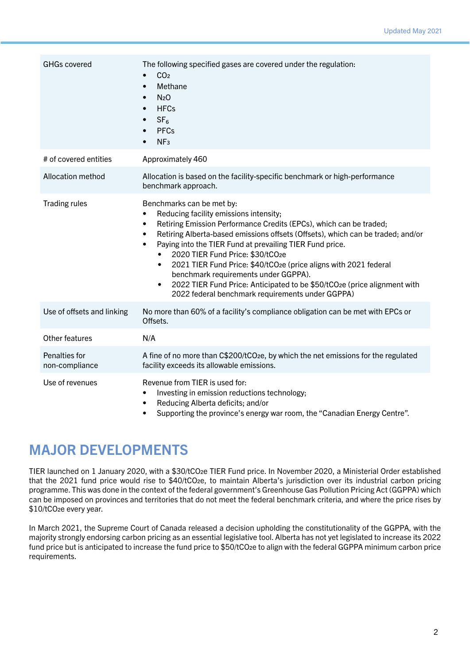| <b>GHGs covered</b>             | The following specified gases are covered under the regulation:<br>CO <sub>2</sub><br>Methane<br>$\bullet$<br>N <sub>2</sub> O<br>$\bullet$<br><b>HFCs</b><br>$\bullet$<br>SF <sub>6</sub><br><b>PFCs</b><br>$\bullet$<br>NF <sub>3</sub>                                                                                                                                                                                                                                                                                                                                                                            |  |
|---------------------------------|----------------------------------------------------------------------------------------------------------------------------------------------------------------------------------------------------------------------------------------------------------------------------------------------------------------------------------------------------------------------------------------------------------------------------------------------------------------------------------------------------------------------------------------------------------------------------------------------------------------------|--|
| # of covered entities           | Approximately 460                                                                                                                                                                                                                                                                                                                                                                                                                                                                                                                                                                                                    |  |
| Allocation method               | Allocation is based on the facility-specific benchmark or high-performance<br>benchmark approach.                                                                                                                                                                                                                                                                                                                                                                                                                                                                                                                    |  |
| <b>Trading rules</b>            | Benchmarks can be met by:<br>Reducing facility emissions intensity;<br>Retiring Emission Performance Credits (EPCs), which can be traded;<br>٠<br>Retiring Alberta-based emissions offsets (Offsets), which can be traded; and/or<br>$\bullet$<br>Paying into the TIER Fund at prevailing TIER Fund price.<br>$\bullet$<br>2020 TIER Fund Price: \$30/tCO2e<br>2021 TIER Fund Price: \$40/tCO2e (price aligns with 2021 federal<br>benchmark requirements under GGPPA).<br>2022 TIER Fund Price: Anticipated to be \$50/tCO2e (price alignment with<br>$\bullet$<br>2022 federal benchmark requirements under GGPPA) |  |
| Use of offsets and linking      | No more than 60% of a facility's compliance obligation can be met with EPCs or<br>Offsets.                                                                                                                                                                                                                                                                                                                                                                                                                                                                                                                           |  |
| Other features                  | N/A                                                                                                                                                                                                                                                                                                                                                                                                                                                                                                                                                                                                                  |  |
| Penalties for<br>non-compliance | A fine of no more than C\$200/tCO <sub>2</sub> e, by which the net emissions for the regulated<br>facility exceeds its allowable emissions.                                                                                                                                                                                                                                                                                                                                                                                                                                                                          |  |
| Use of revenues                 | Revenue from TIER is used for:<br>Investing in emission reductions technology;<br>Reducing Alberta deficits; and/or<br>$\overline{\phantom{a}}$                                                                                                                                                                                                                                                                                                                                                                                                                                                                      |  |

• Supporting the province's energy war room, the "Canadian Energy Centre".

#### MAJOR DEVELOPMENTS

TIER launched on 1 January 2020, with a \$30/tCO2e TIER Fund price. In November 2020, a Ministerial Order established that the 2021 fund price would rise to \$40/tCO2e, to maintain Alberta's jurisdiction over its industrial carbon pricing programme. This was done in the context of the federal government's Greenhouse Gas Pollution Pricing Act (GGPPA) which can be imposed on provinces and territories that do not meet the federal benchmark criteria, and where the price rises by \$10/tCO2e every year.

In March 2021, the Supreme Court of Canada released a decision upholding the constitutionality of the GGPPA, with the majority strongly endorsing carbon pricing as an essential legislative tool. Alberta has not yet legislated to increase its 2022 fund price but is anticipated to increase the fund price to \$50/tCO2e to align with the federal GGPPA minimum carbon price requirements.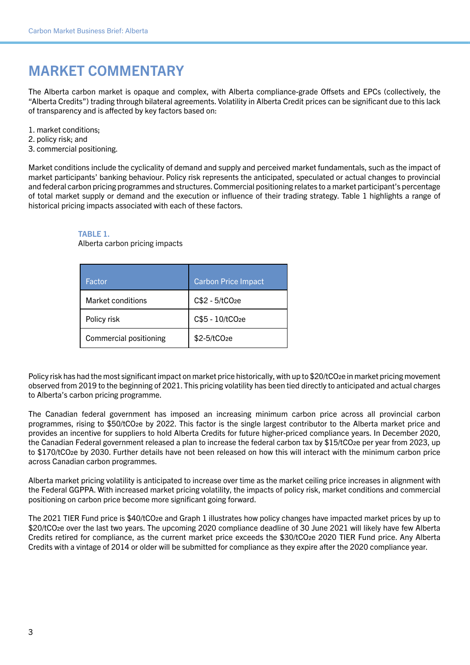#### MARKET COMMENTARY

The Alberta carbon market is opaque and complex, with Alberta compliance-grade Offsets and EPCs (collectively, the "Alberta Credits") trading through bilateral agreements. Volatility in Alberta Credit prices can be significant due to this lack of transparency and is affected by key factors based on:

- 1. market conditions;
- 2. policy risk; and
- 3. commercial positioning.

Market conditions include the cyclicality of demand and supply and perceived market fundamentals, such as the impact of market participants' banking behaviour. Policy risk represents the anticipated, speculated or actual changes to provincial and federal carbon pricing programmes and structures. Commercial positioning relates to a market participant's percentage of total market supply or demand and the execution or influence of their trading strategy. Table 1 highlights a range of historical pricing impacts associated with each of these factors.

#### TABLE 1.

Alberta carbon pricing impacts

| Factor                        | <b>Carbon Price Impact</b> |
|-------------------------------|----------------------------|
| Market conditions             | $C$2 - 5/tCO2e$            |
| Policy risk                   | C\$5 - 10/tCO2e            |
| <b>Commercial positioning</b> | \$2-5/tCO <sub>2</sub> e   |

Policy risk has had the most significant impact on market price historically, with up to \$20/tCO<sub>2</sub>e in market pricing movement observed from 2019 to the beginning of 2021. This pricing volatility has been tied directly to anticipated and actual charges to Alberta's carbon pricing programme.

The Canadian federal government has imposed an increasing minimum carbon price across all provincial carbon programmes, rising to \$50/tCO2e by 2022. This factor is the single largest contributor to the Alberta market price and provides an incentive for suppliers to hold Alberta Credits for future higher-priced compliance years. In December 2020, the Canadian Federal government released a plan to increase the federal carbon tax by \$15/tCO2e per year from 2023, up to \$170/tCO2e by 2030. Further details have not been released on how this will interact with the minimum carbon price across Canadian carbon programmes.

Alberta market pricing volatility is anticipated to increase over time as the market ceiling price increases in alignment with the Federal GGPPA. With increased market pricing volatility, the impacts of policy risk, market conditions and commercial positioning on carbon price become more significant going forward.

The 2021 TIER Fund price is \$40/tCO2e and Graph 1 illustrates how policy changes have impacted market prices by up to \$20/tCO<sub>2</sub>e over the last two years. The upcoming 2020 compliance deadline of 30 June 2021 will likely have few Alberta Credits retired for compliance, as the current market price exceeds the \$30/tCO<sub>2</sub>e 2020 TIER Fund price. Any Alberta Credits with a vintage of 2014 or older will be submitted for compliance as they expire after the 2020 compliance year.